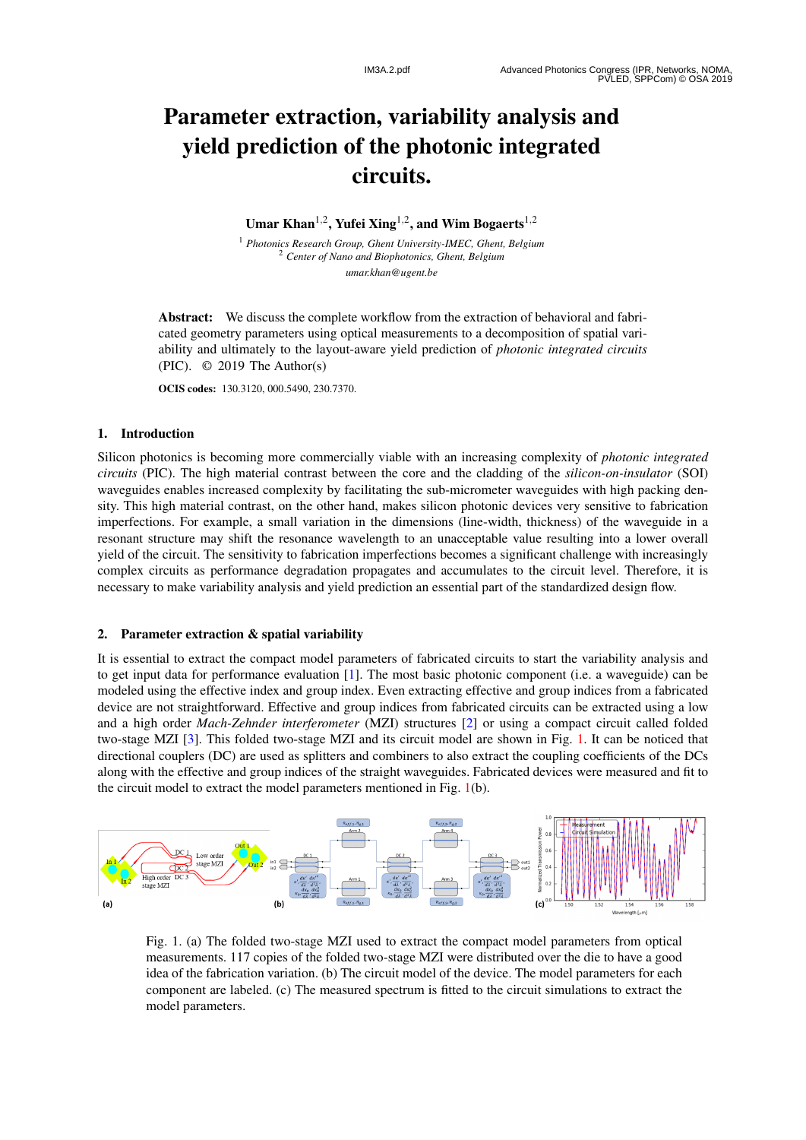# Parameter extraction, variability analysis and yield prediction of the photonic integrated circuits.

Umar Khan<sup>1,2</sup>, Yufei Xing<sup>1,2</sup>, and Wim Bogaerts<sup>1,2</sup>

<sup>1</sup> *Photonics Research Group, Ghent University-IMEC, Ghent, Belgium* <sup>2</sup> *Center of Nano and Biophotonics, Ghent, Belgium umar.khan@ugent.be*

Abstract: We discuss the complete workflow from the extraction of behavioral and fabricated geometry parameters using optical measurements to a decomposition of spatial variability and ultimately to the layout-aware yield prediction of *photonic integrated circuits* (PIC). © 2019 The Author(s)

OCIS codes: 130.3120, 000.5490, 230.7370.

### 1. Introduction

Silicon photonics is becoming more commercially viable with an increasing complexity of *photonic integrated circuits* (PIC). The high material contrast between the core and the cladding of the *silicon-on-insulator* (SOI) waveguides enables increased complexity by facilitating the sub-micrometer waveguides with high packing density. This high material contrast, on the other hand, makes silicon photonic devices very sensitive to fabrication imperfections. For example, a small variation in the dimensions (line-width, thickness) of the waveguide in a resonant structure may shift the resonance wavelength to an unacceptable value resulting into a lower overall yield of the circuit. The sensitivity to fabrication imperfections becomes a significant challenge with increasingly complex circuits as performance degradation propagates and accumulates to the circuit level. Therefore, it is necessary to make variability analysis and yield prediction an essential part of the standardized design flow.

#### 2. Parameter extraction & spatial variability

It is essential to extract the compact model parameters of fabricated circuits to start the variability analysis and to get input data for performance evaluation [ 1]. The most basic photonic component (i.e. a waveguide) can be modeled using the effective index and group index. Even extracting effective and group indices from a fabricated device are not straightforward. Effective and group indices from fabricated circuits can be extracted using a low and a high order *Mach-Zehnder interferometer* (MZI) structures [ 2] or using a compact circuit called folded two-stage MZI [3]. This folded two-stage MZI and its circuit model are shown in Fig. 1. It can be noticed that directional couplers (DC) are used as splitters and combiners to also extract the coupling coefficients of the DCs along with the effective and group indices of the straight waveguides. Fabricated devices were measured and fit to the circuit model to extract the model parameters mentioned in Fig. 1(b).



Fig. 1. (a) The folded two-stage MZI used to extract the compact model parameters from optical measurements. 117 copies of the folded two-stage MZI were distributed over the die to have a good idea of the fabrication variation. (b) The circuit model of the device. The model parameters for each component are labeled. (c) The measured spectrum is fitted to the circuit simulations to extract the model parameters.